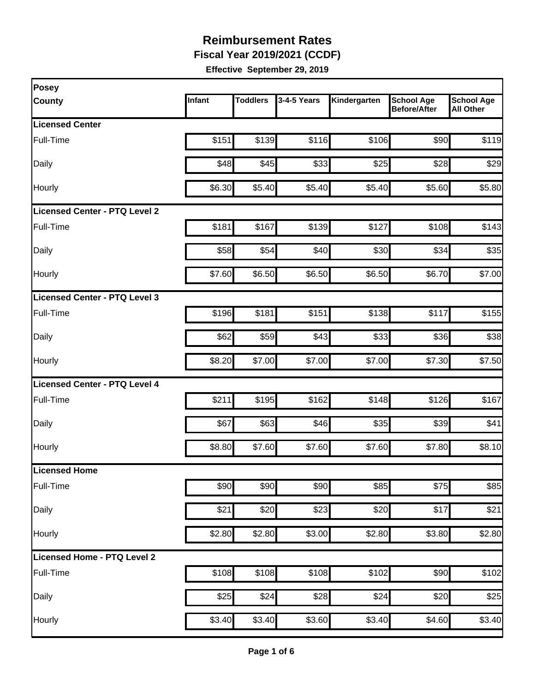**Fiscal Year 2019/2021 (CCDF)**

| Posey                                |        |                 |             |              |                                          |                                       |
|--------------------------------------|--------|-----------------|-------------|--------------|------------------------------------------|---------------------------------------|
| <b>County</b>                        | Infant | <b>Toddlers</b> | 3-4-5 Years | Kindergarten | <b>School Age</b><br><b>Before/After</b> | <b>School Age</b><br><b>All Other</b> |
| <b>Licensed Center</b>               |        |                 |             |              |                                          |                                       |
| Full-Time                            | \$151  | \$139           | \$116       | \$106        | \$90                                     | \$119                                 |
| Daily                                | \$48   | \$45            | \$33        | \$25         | \$28                                     | \$29                                  |
| Hourly                               | \$6.30 | \$5.40          | \$5.40      | \$5.40       | \$5.60                                   | \$5.80                                |
| <b>Licensed Center - PTQ Level 2</b> |        |                 |             |              |                                          |                                       |
| Full-Time                            | \$181  | \$167           | \$139       | \$127        | \$108                                    | \$143                                 |
| Daily                                | \$58   | \$54            | \$40        | \$30         | \$34                                     | \$35                                  |
| Hourly                               | \$7.60 | \$6.50          | \$6.50      | \$6.50       | \$6.70                                   | \$7.00                                |
| Licensed Center - PTQ Level 3        |        |                 |             |              |                                          |                                       |
| Full-Time                            | \$196  | \$181           | \$151       | \$138        | \$117                                    | \$155                                 |
| Daily                                | \$62   | \$59            | \$43        | \$33         | \$36                                     | \$38                                  |
| Hourly                               | \$8.20 | \$7.00          | \$7.00      | \$7.00       | \$7.30                                   | \$7.50                                |
| <b>Licensed Center - PTQ Level 4</b> |        |                 |             |              |                                          |                                       |
| Full-Time                            | \$211  | \$195           | \$162       | \$148        | \$126                                    | \$167                                 |
| Daily                                | \$67   | \$63            | \$46        | \$35         | \$39                                     | \$41                                  |
| Hourly                               | \$8.80 | \$7.60          | \$7.60      | \$7.60       | \$7.80                                   | \$8.10                                |
| Licensed Home                        |        |                 |             |              |                                          |                                       |
| Full-Time                            | \$90   | \$90            | \$90        | \$85         | \$75                                     | \$85                                  |
| Daily                                | \$21   | \$20            | \$23        | \$20         | \$17                                     | \$21                                  |
| Hourly                               | \$2.80 | \$2.80          | \$3.00      | \$2.80       | \$3.80                                   | \$2.80                                |
| Licensed Home - PTQ Level 2          |        |                 |             |              |                                          |                                       |
| Full-Time                            | \$108  | \$108           | \$108       | \$102        | \$90                                     | \$102                                 |
| Daily                                | \$25   | \$24            | \$28        | \$24         | \$20                                     | \$25                                  |
| Hourly                               | \$3.40 | \$3.40          | \$3.60      | \$3.40       | \$4.60                                   | \$3.40                                |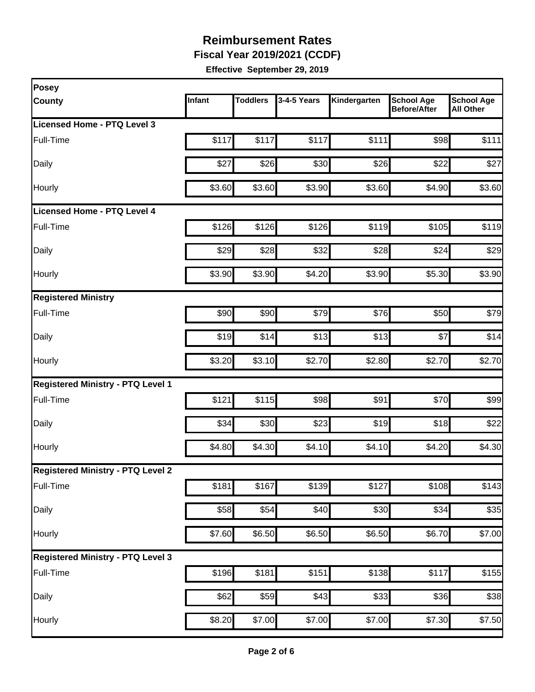**Fiscal Year 2019/2021 (CCDF)**

| Posey                                    |        |                 |                  |                    |                                          |                                       |
|------------------------------------------|--------|-----------------|------------------|--------------------|------------------------------------------|---------------------------------------|
| <b>County</b>                            | Infant | <b>Toddlers</b> | 3-4-5 Years      | Kindergarten       | <b>School Age</b><br><b>Before/After</b> | <b>School Age</b><br><b>All Other</b> |
| Licensed Home - PTQ Level 3              |        |                 |                  |                    |                                          |                                       |
| Full-Time                                | \$117  | \$117           | \$117            | \$111              | \$98                                     | \$111                                 |
| Daily                                    | \$27   | \$26            | \$30             | \$26               | \$22                                     | \$27                                  |
| Hourly                                   | \$3.60 | \$3.60          | \$3.90           | \$3.60             | \$4.90                                   | \$3.60                                |
| Licensed Home - PTQ Level 4              |        |                 |                  |                    |                                          |                                       |
| Full-Time                                | \$126  | \$126           | \$126            | \$119              | \$105                                    | \$119                                 |
| Daily                                    | \$29   | \$28            | \$32             | \$28               | \$24                                     | \$29                                  |
| Hourly                                   | \$3.90 | \$3.90          | \$4.20           | \$3.90             | \$5.30                                   | \$3.90                                |
| <b>Registered Ministry</b>               |        |                 |                  |                    |                                          |                                       |
| Full-Time                                | \$90   | \$90            | \$79             | \$76               | \$50                                     | \$79                                  |
| Daily                                    | \$19   | \$14            | \$13             | \$13               | \$7                                      | \$14                                  |
| Hourly                                   | \$3.20 | \$3.10          | \$2.70           | \$2.80             | \$2.70                                   | \$2.70                                |
| <b>Registered Ministry - PTQ Level 1</b> |        |                 |                  |                    |                                          |                                       |
| Full-Time                                | \$121  | \$115           | \$98             | \$91               | \$70                                     | \$99                                  |
| Daily                                    | \$34   | \$30            | \$23             | \$19               | \$18                                     | \$22                                  |
| Hourly                                   | \$4.80 | \$4.30          | \$4.10           | \$4.10             | \$4.20                                   | \$4.30                                |
| <b>Registered Ministry - PTQ Level 2</b> |        |                 |                  |                    |                                          |                                       |
| Full-Time                                | \$181  | \$167           | \$139            | \$127              | $\overline{$}108$                        | \$143                                 |
| Daily                                    | \$58   | \$54            | \$40             | \$30               | \$34                                     | \$35                                  |
| Hourly                                   | \$7.60 | \$6.50          | \$6.50           | \$6.50             | \$6.70                                   | \$7.00                                |
| <b>Registered Ministry - PTQ Level 3</b> |        |                 |                  |                    |                                          |                                       |
| Full-Time                                | \$196  | \$181           | \$151            | \$138              | \$117                                    | \$155                                 |
| Daily                                    | \$62   | \$59            | $\overline{$}43$ | \$33               | \$36                                     | \$38                                  |
| Hourly                                   | \$8.20 | \$7.00          | \$7.00           | $\overline{$7.00}$ | \$7.30                                   | \$7.50                                |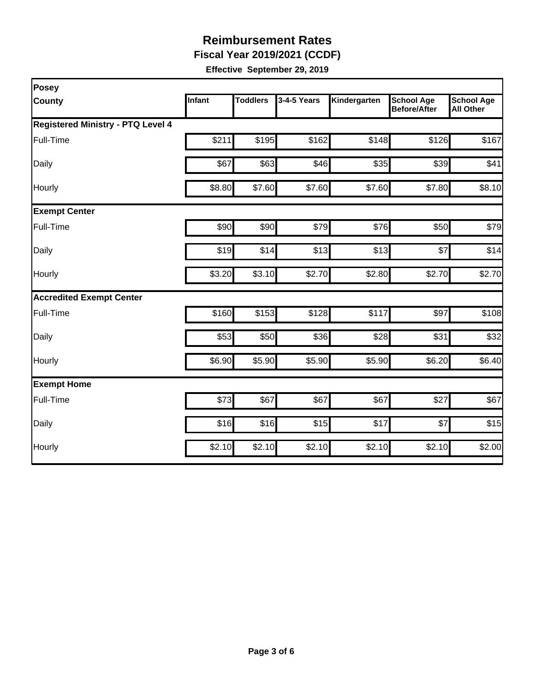**Fiscal Year 2019/2021 (CCDF)**

| Posey                                    |        |          |             |              |                                          |                                       |  |  |  |
|------------------------------------------|--------|----------|-------------|--------------|------------------------------------------|---------------------------------------|--|--|--|
| County                                   | Infant | Toddlers | 3-4-5 Years | Kindergarten | <b>School Age</b><br><b>Before/After</b> | <b>School Age</b><br><b>All Other</b> |  |  |  |
| <b>Registered Ministry - PTQ Level 4</b> |        |          |             |              |                                          |                                       |  |  |  |
| Full-Time                                | \$211  | \$195    | \$162       | \$148        | \$126                                    | \$167                                 |  |  |  |
| Daily                                    | \$67   | \$63     | \$46        | \$35         | \$39                                     | \$41                                  |  |  |  |
| Hourly                                   | \$8.80 | \$7.60   | \$7.60      | \$7.60       | \$7.80                                   | \$8.10                                |  |  |  |
| <b>Exempt Center</b>                     |        |          |             |              |                                          |                                       |  |  |  |
| Full-Time                                | \$90   | \$90     | \$79        | \$76         | \$50                                     | \$79                                  |  |  |  |
| Daily                                    | \$19   | \$14     | \$13        | \$13         | \$7                                      | \$14                                  |  |  |  |
| Hourly                                   | \$3.20 | \$3.10   | \$2.70      | \$2.80       | \$2.70                                   | \$2.70                                |  |  |  |
| <b>Accredited Exempt Center</b>          |        |          |             |              |                                          |                                       |  |  |  |
| Full-Time                                | \$160  | \$153    | \$128       | \$117        | \$97                                     | \$108                                 |  |  |  |
| Daily                                    | \$53   | \$50     | \$36        | \$28         | \$31                                     | \$32                                  |  |  |  |
| Hourly                                   | \$6.90 | \$5.90   | \$5.90      | \$5.90       | \$6.20                                   | \$6.40                                |  |  |  |
| <b>Exempt Home</b>                       |        |          |             |              |                                          |                                       |  |  |  |
| Full-Time                                | \$73   | \$67     | \$67        | \$67         | \$27                                     | \$67                                  |  |  |  |
| Daily                                    | \$16   | \$16     | \$15        | \$17         | \$7                                      | \$15                                  |  |  |  |
| Hourly                                   | \$2.10 | \$2.10   | \$2.10      | \$2.10       | \$2.10                                   | \$2.00                                |  |  |  |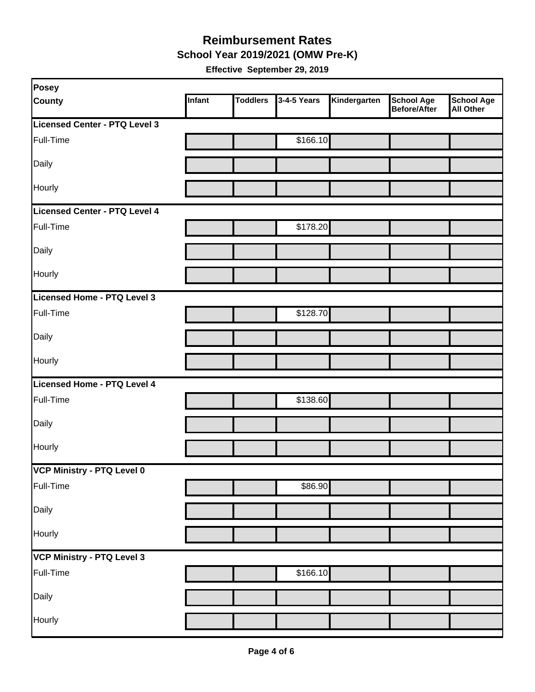**School Year 2019/2021 (OMW Pre-K)**

| Posey                         |        |                 |             |              |                                   |                         |
|-------------------------------|--------|-----------------|-------------|--------------|-----------------------------------|-------------------------|
| <b>County</b>                 | Infant | <b>Toddlers</b> | 3-4-5 Years | Kindergarten | <b>School Age</b><br>Before/After | School Age<br>All Other |
| Licensed Center - PTQ Level 3 |        |                 |             |              |                                   |                         |
| Full-Time                     |        |                 | \$166.10    |              |                                   |                         |
| Daily                         |        |                 |             |              |                                   |                         |
| Hourly                        |        |                 |             |              |                                   |                         |
| Licensed Center - PTQ Level 4 |        |                 |             |              |                                   |                         |
| Full-Time                     |        |                 | \$178.20    |              |                                   |                         |
| Daily                         |        |                 |             |              |                                   |                         |
| Hourly                        |        |                 |             |              |                                   |                         |
| Licensed Home - PTQ Level 3   |        |                 |             |              |                                   |                         |
| Full-Time                     |        |                 | \$128.70    |              |                                   |                         |
| Daily                         |        |                 |             |              |                                   |                         |
| Hourly                        |        |                 |             |              |                                   |                         |
| Licensed Home - PTQ Level 4   |        |                 |             |              |                                   |                         |
| Full-Time                     |        |                 | \$138.60    |              |                                   |                         |
| Daily                         |        |                 |             |              |                                   |                         |
| Hourly                        |        |                 |             |              |                                   |                         |
| VCP Ministry - PTQ Level 0    |        |                 |             |              |                                   |                         |
| Full-Time                     |        |                 | \$86.90     |              |                                   |                         |
| Daily                         |        |                 |             |              |                                   |                         |
| Hourly                        |        |                 |             |              |                                   |                         |
| VCP Ministry - PTQ Level 3    |        |                 |             |              |                                   |                         |
| Full-Time                     |        |                 | \$166.10    |              |                                   |                         |
| Daily                         |        |                 |             |              |                                   |                         |
| Hourly                        |        |                 |             |              |                                   |                         |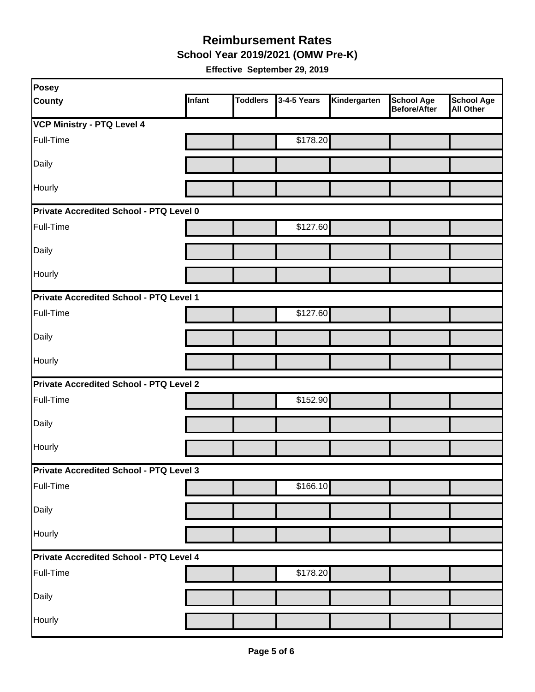**School Year 2019/2021 (OMW Pre-K)**

| Posey                                          |        |                 |             |              |                                          |                                       |  |  |
|------------------------------------------------|--------|-----------------|-------------|--------------|------------------------------------------|---------------------------------------|--|--|
| <b>County</b>                                  | Infant | <b>Toddlers</b> | 3-4-5 Years | Kindergarten | <b>School Age</b><br><b>Before/After</b> | <b>School Age</b><br><b>All Other</b> |  |  |
| <b>VCP Ministry - PTQ Level 4</b>              |        |                 |             |              |                                          |                                       |  |  |
| Full-Time                                      |        |                 | \$178.20    |              |                                          |                                       |  |  |
| Daily                                          |        |                 |             |              |                                          |                                       |  |  |
| Hourly                                         |        |                 |             |              |                                          |                                       |  |  |
| Private Accredited School - PTQ Level 0        |        |                 |             |              |                                          |                                       |  |  |
| Full-Time                                      |        |                 | \$127.60    |              |                                          |                                       |  |  |
| Daily                                          |        |                 |             |              |                                          |                                       |  |  |
| Hourly                                         |        |                 |             |              |                                          |                                       |  |  |
| Private Accredited School - PTQ Level 1        |        |                 |             |              |                                          |                                       |  |  |
| Full-Time                                      |        |                 | \$127.60    |              |                                          |                                       |  |  |
| Daily                                          |        |                 |             |              |                                          |                                       |  |  |
| Hourly                                         |        |                 |             |              |                                          |                                       |  |  |
| <b>Private Accredited School - PTQ Level 2</b> |        |                 |             |              |                                          |                                       |  |  |
| Full-Time                                      |        |                 | \$152.90    |              |                                          |                                       |  |  |
| Daily                                          |        |                 |             |              |                                          |                                       |  |  |
| Hourly                                         |        |                 |             |              |                                          |                                       |  |  |
| Private Accredited School - PTQ Level 3        |        |                 |             |              |                                          |                                       |  |  |
| Full-Time                                      |        |                 | \$166.10    |              |                                          |                                       |  |  |
| Daily                                          |        |                 |             |              |                                          |                                       |  |  |
| Hourly                                         |        |                 |             |              |                                          |                                       |  |  |
| Private Accredited School - PTQ Level 4        |        |                 |             |              |                                          |                                       |  |  |
| Full-Time                                      |        |                 | \$178.20    |              |                                          |                                       |  |  |
| Daily                                          |        |                 |             |              |                                          |                                       |  |  |
| Hourly                                         |        |                 |             |              |                                          |                                       |  |  |